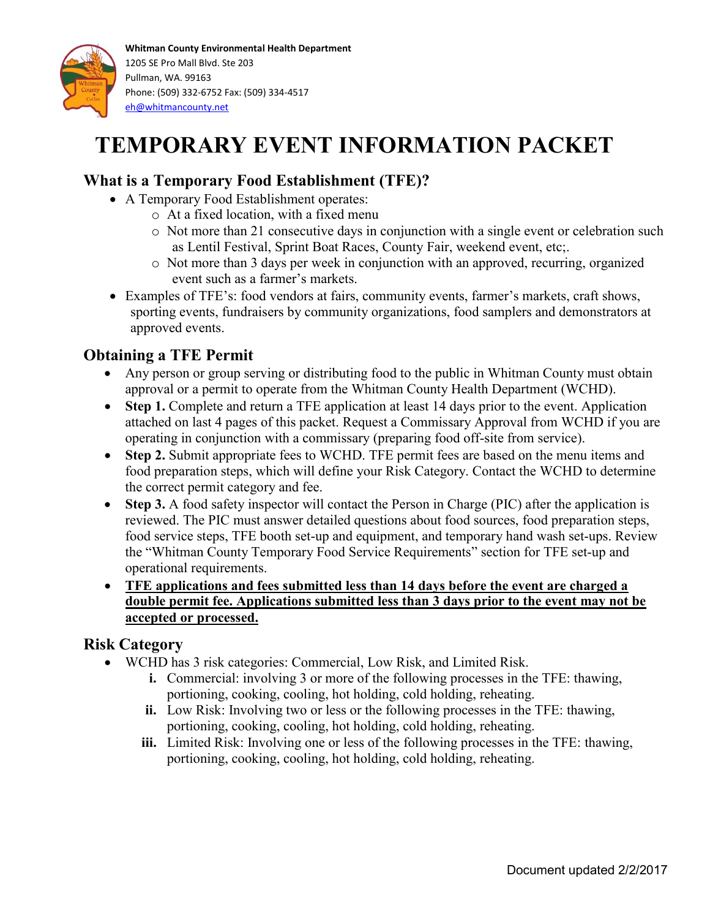

# **TEMPORARY EVENT INFORMATION PACKET**

## **What is a Temporary Food Establishment (TFE)?**

- A Temporary Food Establishment operates:
	- o At a fixed location, with a fixed menu
	- o Not more than 21 consecutive days in conjunction with a single event or celebration such as Lentil Festival, Sprint Boat Races, County Fair, weekend event, etc;.
	- o Not more than 3 days per week in conjunction with an approved, recurring, organized event such as a farmer's markets.
- Examples of TFE's: food vendors at fairs, community events, farmer's markets, craft shows, sporting events, fundraisers by community organizations, food samplers and demonstrators at approved events.

## **Obtaining a TFE Permit**

- Any person or group serving or distributing food to the public in Whitman County must obtain approval or a permit to operate from the Whitman County Health Department (WCHD).
- Step 1. Complete and return a TFE application at least 14 days prior to the event. Application attached on last 4 pages of this packet. Request a Commissary Approval from WCHD if you are operating in conjunction with a commissary (preparing food off-site from service).
- Step 2. Submit appropriate fees to WCHD. TFE permit fees are based on the menu items and food preparation steps, which will define your Risk Category. Contact the WCHD to determine the correct permit category and fee.
- Step 3. A food safety inspector will contact the Person in Charge (PIC) after the application is reviewed. The PIC must answer detailed questions about food sources, food preparation steps, food service steps, TFE booth set-up and equipment, and temporary hand wash set-ups. Review the "Whitman County Temporary Food Service Requirements" section for TFE set-up and operational requirements.
- **TFE applications and fees submitted less than 14 days before the event are charged a double permit fee. Applications submitted less than 3 days prior to the event may not be accepted or processed.**

## **Risk Category**

- WCHD has 3 risk categories: Commercial, Low Risk, and Limited Risk.
	- **i.** Commercial: involving 3 or more of the following processes in the TFE: thawing, portioning, cooking, cooling, hot holding, cold holding, reheating.
	- **ii.** Low Risk: Involving two or less or the following processes in the TFE: thawing, portioning, cooking, cooling, hot holding, cold holding, reheating.
	- **iii.** Limited Risk: Involving one or less of the following processes in the TFE: thawing, portioning, cooking, cooling, hot holding, cold holding, reheating.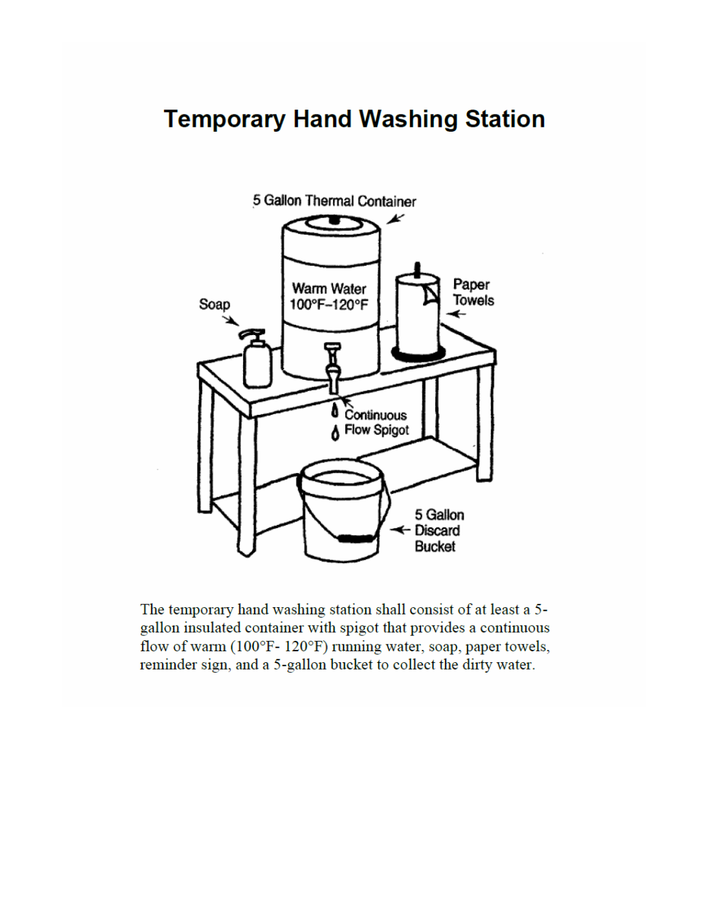# **Temporary Hand Washing Station**



The temporary hand washing station shall consist of at least a 5gallon insulated container with spigot that provides a continuous flow of warm (100°F-120°F) running water, soap, paper towels, reminder sign, and a 5-gallon bucket to collect the dirty water.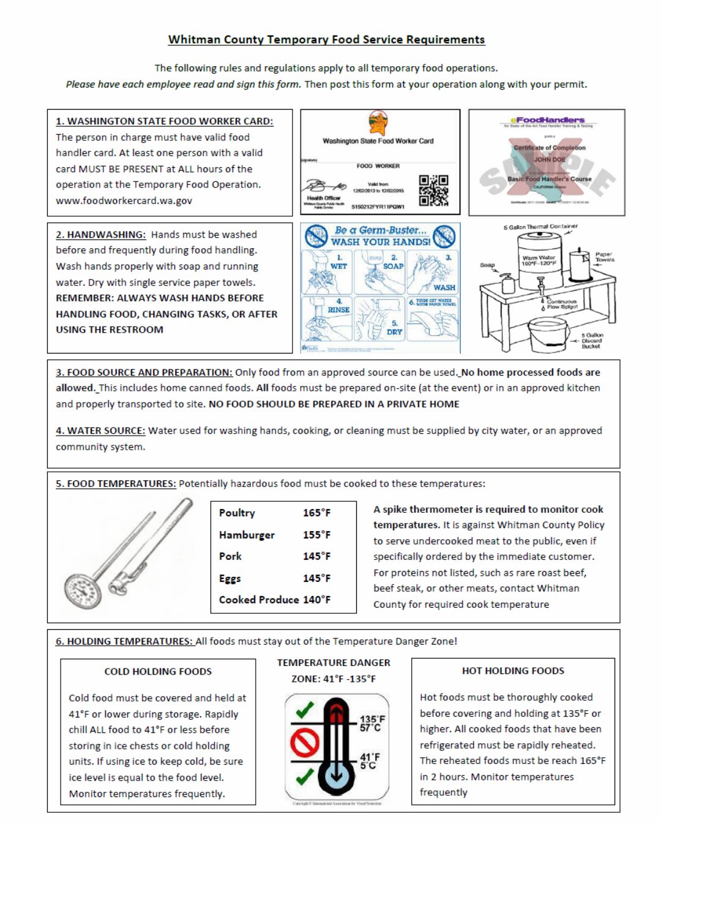### **Whitman County Temporary Food Service Requirements**

The following rules and regulations apply to all temporary food operations.

Please have each employee read and sign this form. Then post this form at your operation along with your permit.



3. FOOD SOURCE AND PREPARATION: Only food from an approved source can be used. No home processed foods are allowed. This includes home canned foods. All foods must be prepared on-site (at the event) or in an approved kitchen and properly transported to site. NO FOOD SHOULD BE PREPARED IN A PRIVATE HOME

4. WATER SOURCE: Water used for washing hands, cooking, or cleaning must be supplied by city water, or an approved community system.

5. FOOD TEMPERATURES: Potentially hazardous food must be cooked to these temperatures:



| Poultry              | $165^{\circ}$ F |
|----------------------|-----------------|
| Hamburger            | $155^\circ F$   |
| Pork                 | $145^{\circ}$ F |
| Eggs                 | $145^\circ F$   |
| Cooked Produce 140°F |                 |

A spike thermometer is required to monitor cook temperatures. It is against Whitman County Policy to serve undercooked meat to the public, even if specifically ordered by the immediate customer. For proteins not listed, such as rare roast beef, beef steak, or other meats, contact Whitman County for required cook temperature

6. HOLDING TEMPERATURES: All foods must stay out of the Temperature Danger Zone!

#### **COLD HOLDING FOODS**

Cold food must be covered and held at 41°F or lower during storage. Rapidly chill ALL food to 41°F or less before storing in ice chests or cold holding units. If using ice to keep cold, be sure ice level is equal to the food level. Monitor temperatures frequently.

### **TEMPERATURE DANGER** ZONE: 41°F -135°F



#### **HOT HOLDING FOODS**

Hot foods must be thoroughly cooked before covering and holding at 135°F or higher. All cooked foods that have been refrigerated must be rapidly reheated. The reheated foods must be reach 165°F in 2 hours. Monitor temperatures frequently